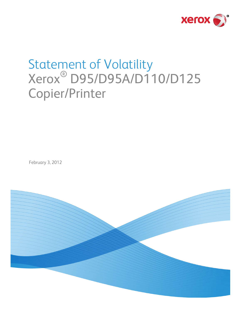

# Statement of Volatility Xerox® D95/D95A/D110/D125 Copier/Printer

February 3, 2012

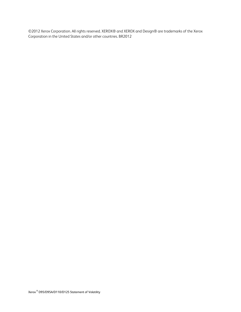©2012 Xerox Corporation. All rights reserved. XEROX® and XEROX and Design® are trademarks of the Xerox Corporation in the United States and/or other countries. BR2012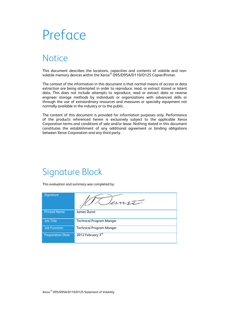# Preface

## **Notice**

This document describes the locations, capacities and contents of volatile and nonvolatile memory devices within the Xerox $^\circ$  D95/D95A/D110/D125 Copier/Printer.

The context of the information in this document is that normal means of access or data extraction are being attempted in order to reproduce, read, or extract stored or latent data. This does not include attempts to reproduce, read or extract data or reverse engineer storage methods by individuals or organizations with advanced skills or through the use of extraordinary resources and measures or specialty equipment not normally available in the industry or to the public.

The content of this document is provided for information purposes only. Performance of the products referenced herein is exclusively subject to the applicable Xerox Corporation terms and conditions of sale and/or lease. Nothing stated in this document constitutes the establishment of any additional agreement or binding obligations between Xerox Corporation and any third party.

### Signature Block

This evaluation and summary was completed by:

| Signature               | unti                            |
|-------------------------|---------------------------------|
| <b>Printed Name</b>     | James Dunst                     |
| <b>Job Title</b>        | <b>Technical Program Manger</b> |
| <b>Job Function</b>     | <b>Technical Program Manger</b> |
| <b>Preparation Date</b> | 2012 February 3rd               |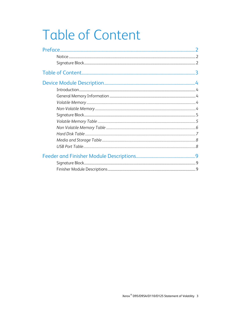# **Table of Content**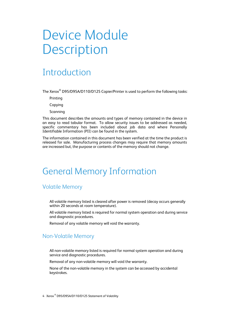## Device Module **Description**

### Introduction

The Xerox $^\circ$  D95/D95A/D110/D125 Copier/Printer is used to perform the following tasks:

Printing

Copying

Scanning

This document describes the amounts and types of memory contained in the device in an easy to read tabular format. To allow security issues to be addressed as needed, specific commentary has been included about job data and where Personally Identifiable Information (PII) can be found in the system.

The information contained in this document has been verified at the time the product is released for sale. Manufacturing process changes may require that memory amounts are increased but, the purpose or contents of the memory should not change.

### General Memory Information

#### Volatile Memory

All volatile memory listed is cleared after power is removed (decay occurs generally within 20 seconds at room temperature).

All volatile memory listed is required for normal system operation and during service and diagnostic procedures.

Removal of any volatile memory will void the warranty.

#### Non-Volatile Memory

All non-volatile memory listed is required for normal system operation and during service and diagnostic procedures.

Removal of any non-volatile memory will void the warranty.

None of the non-volatile memory in the system can be accessed by accidental keystrokes.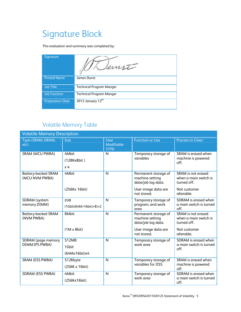## Signature Block

This evaluation and summary was completed by:

| Signature               | 2n17                            |
|-------------------------|---------------------------------|
| <b>Printed Name</b>     | James Dunst                     |
| <b>Job Title</b>        | <b>Technical Program Manger</b> |
| <b>Job Function</b>     | <b>Technical Program Manger</b> |
| <b>Preparation Date</b> | 2012 January $12^{\text{th}}$   |

### Volatile Memory Table

| <b>Volatile Memory Description</b>           |                                 |                                    |                                                                                      |                                                                            |
|----------------------------------------------|---------------------------------|------------------------------------|--------------------------------------------------------------------------------------|----------------------------------------------------------------------------|
| Type (SRAM, DRAM,<br>etc)                    | <b>Size</b>                     | <b>User</b><br>Modifiable<br>(Y/N) | <b>Function or Use</b>                                                               | Process to Clear:                                                          |
| SRAM (MCU PWBA)                              | 4Mbit<br>(128Kx8bit)<br>x 4     | N                                  | Temporary storage of<br>variables                                                    | SRAM is erased when<br>machine is powered<br>off.                          |
| <b>Battery-backed SRAM</b><br>(MCU NVM PWBA) | 4Mbit<br>(256Kx 16bit)          | N                                  | Permanent storage of<br>machine setting<br>data/job log data.<br>User image data are | SRAM is not erased<br>when a main switch is<br>turned off.<br>Not customer |
|                                              |                                 |                                    | not stored.                                                                          | alterable.                                                                 |
| SDRAM (system<br>memory DIMM)                | 2GB<br>$(1Gbit(64M×16bit)*8)*2$ | $\mathsf{N}$                       | Temporary storage of<br>program, and work<br>area                                    | SDRAM is erased when<br>a main switch is turned<br>off.                    |
| <b>Battery-backed SRAM</b><br>(NVM PWBA)     | 8Mbit                           | $\mathsf{N}$                       | Permanent storage of<br>machine setting<br>data/job log data.                        | SRAM is not erased<br>when a main switch is<br>turned off.                 |
|                                              | $(1M \times 8bit)$              |                                    | User image data are<br>not stored.                                                   | Not customer<br>alterable.                                                 |
| SDRAM (page memory<br>DIMM:IPS PWBA)         | 512MB<br>1Gbit<br>(64Mx16bit)x4 | $\mathsf{N}$                       | Temporary storage of<br>work area                                                    | SDRAM is erased when<br>a main switch is turned<br>off.                    |
| SRAM (ESS PWBA)                              | 512Kbyte<br>(256K x 16bit)      | $\mathsf{N}$                       | Temporary storage of<br>variables for IISS                                           | SRAM is erased when<br>machine is powered<br>off.                          |
| SDRAM (ESS PWBA)                             | 4Mbit<br>(256Kx16bit)           | N                                  | Temporary storage of<br>work area                                                    | SDRAM is erased when<br>a main switch is turned<br>off.                    |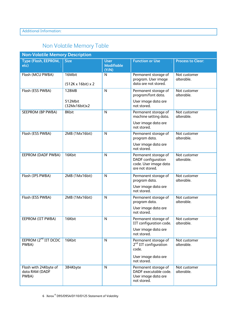### Non Volatile Memory Table

| <b>Non-Volatile Memory Description</b>           |                              |                                           |                                                                                               |                            |
|--------------------------------------------------|------------------------------|-------------------------------------------|-----------------------------------------------------------------------------------------------|----------------------------|
| <b>Type (Flash, EEPROM,</b><br>etc)              | <b>Size</b>                  | <b>User</b><br><b>Modifiable</b><br>(Y/N) | <b>Function or Use</b>                                                                        | <b>Process to Clear:</b>   |
| Flash (MCU PWBA)                                 | 16Mbit<br>(512K x 16bit) x 2 | N                                         | Permanent storage of<br>program. User image<br>data are not stored.                           | Not customer<br>alterable. |
| Flash (ESS PWBA)                                 | 128MB                        | $\mathsf{N}$                              | Permanent storage of<br>program/font data.                                                    | Not customer<br>alterable. |
|                                                  | 512Mbit<br>(32Mx16bit)x2     |                                           | User image data are<br>not stored.                                                            |                            |
| SEEPROM (BP PWBA)                                | 8Kbit                        | N                                         | Permanent storage of<br>machine setting data.                                                 | Not customer<br>alterable. |
|                                                  |                              |                                           | User image data are<br>not stored.                                                            |                            |
| Flash (ESS PWBA)                                 | 2MB (1Mx16bit)               | N                                         | Permanent storage of<br>program data.                                                         | Not customer<br>alterable. |
|                                                  |                              |                                           | User image data are<br>not stored.                                                            |                            |
| EEPROM (DADF PWBA)                               | 16Kbit                       | $\mathsf{N}$                              | Permanent storage of<br><b>DADF</b> configuration<br>code. User image data<br>are not stored. | Not customer<br>alterable. |
| Flash (IPS PWBA)                                 | 2MB (1Mx16bit)               | N                                         | Permanent storage of<br>program data.<br>User image data are<br>not stored.                   | Not customer<br>alterable. |
| Flash (ESS PWBA)                                 | 2MB (1Mx16bit)               | N                                         | Permanent storage of<br>program data.                                                         | Not customer<br>alterable. |
|                                                  |                              |                                           | User image data are<br>not stored.                                                            |                            |
| EEPROM (IIT PWBA)                                | 16Kbit                       | $\mathsf{N}$                              | Permanent storage of<br>IIT configuration code.                                               | Not customer<br>alterable. |
|                                                  |                              |                                           | User image data are<br>not stored.                                                            |                            |
| EEPROM (2 <sup>nd</sup> IIT DCDC<br>PWBA)        | 16Kbit                       | N                                         | Permanent storage of<br>$2nd$ IIT configuration<br>code.                                      | Not customer<br>alterable. |
|                                                  |                              |                                           | User image data are<br>not stored.                                                            |                            |
| Flash with 24Kbyte of<br>data RAM (DADF<br>PWBA) | 384Kbyte                     | $\mathsf{N}$                              | Permanent storage of<br>DADF executable code.<br>User image data are<br>not stored.           | Not customer<br>alterable. |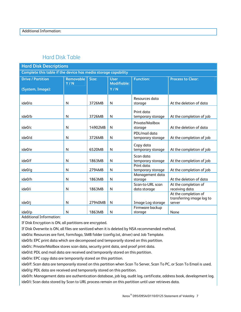#### Hard Disk Table

| <b>Hard Disk Descriptions</b>                                  |                  |         |                                   |                                    |                                                             |
|----------------------------------------------------------------|------------------|---------|-----------------------------------|------------------------------------|-------------------------------------------------------------|
| Complete this table if the device has media storage capability |                  |         |                                   |                                    |                                                             |
| <b>Drive / Partition</b>                                       | Removable<br>Y/N | Size:   | <b>User</b><br><b>Modifiable:</b> | <b>Function:</b>                   | <b>Process to Clear:</b>                                    |
| (System, Image):                                               |                  |         | Y/N                               |                                    |                                                             |
| ide0/a                                                         | N                | 3726MB  | N                                 | Resources data<br>storage          | At the deletion of data                                     |
| ide0/b                                                         | N                | 3726MB  | $\mathsf{N}$                      | Print data<br>temporary storage    | At the completion of job                                    |
| ide0/c                                                         | N                | 14902MB | N                                 | Private/Mailbox<br>storage         | At the deletion of data                                     |
| ide0/d                                                         | N                | 3726MB  | N                                 | PDL/mail data<br>temporary storage | At the completion of job                                    |
| ide0/e                                                         | N                | 6520MB  | N                                 | Copy data<br>temporary storage     | At the completion of job                                    |
| ide0/f                                                         | $\mathsf{N}$     | 1863MB  | ${\sf N}$                         | Scan data<br>temporary storage     | At the completion of job                                    |
| ide0/q                                                         | N                | 2794MB  | N                                 | Print data<br>temporary storage    | At the completion of job                                    |
| ide0/h                                                         | N                | 1863MB  | N                                 | Management data<br>storage         | At the deletion of data                                     |
| ide0/i                                                         | N                | 1863MB  | N                                 | Scan-to-URL scan<br>data storage   | At the completion of<br>receiving data                      |
| ide0/j                                                         | N                | 27940MB | N                                 | Image Log storage                  | At the completion of<br>transferring image log to<br>server |
| ide0/p                                                         | N                | 1863MB  | N                                 | Firmware backup<br>storage         | None                                                        |

Additional Information:

If Disk Encryption is ON, all partitions are encrypted.

If Disk Overwrite is ON, all files are sanitized when it is deleted by NSA recommended method.

ide0/a: Resources are font, form/logo, SMB folder (config.txt, driver) and Job Template.

ide0/b: EPC print data which are decomposed and temporarily stored on this partition.

ide0/c: Private/Mailbox stores scan data, security print data, and proof print data.

ide0/d: PDL and mail data are received and temporarily stored on this partition.

ide0/e: EPC copy data are temporarily stored on this partition.

ide0/f: Scan data are temporarily stored on this partition when Scan To Server, Scan To PC, or Scan To Email is used. ide0/g: PDL data are received and temporarily stored on this partition.

ide0/h: Management data are authentication database, job log, audit log, certificate, address book, development log. ide0/i: Scan data stored by Scan to URL process remain on this partition until user retrieves data.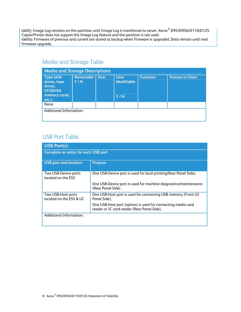ide0/j: Image Log remains on this partition until Image Log is transferred to server. Xerox $^\circ$  D95/D95A/D110/D125 Copier/Printer does not support the Image Log feature and the partition is not used. ide0/p: Firmware of previous and current are stored as backup when firmware is upgraded. Data remain until next firmware upgrade.

#### Media and Storage Table

| <b>Media and Storage Descriptions</b>                            |                  |       |                                   |                  |                          |
|------------------------------------------------------------------|------------------|-------|-----------------------------------|------------------|--------------------------|
| <b>Type (disk)</b><br>drives, tape<br>drives,<br><b>CF/SD/XD</b> | Removable<br>Y/N | Size: | <b>User</b><br><b>Modifiable:</b> | <b>Function:</b> | <b>Process to Clear:</b> |
| memory cards,<br>$etc.$ ):                                       |                  |       | Y/N                               |                  |                          |
| None                                                             |                  |       |                                   |                  |                          |
| <b>Additional Information:</b>                                   |                  |       |                                   |                  |                          |

#### USB Port Table

| <b>USB Port(s)</b>                            |                                                                                                             |  |  |
|-----------------------------------------------|-------------------------------------------------------------------------------------------------------------|--|--|
| <b>Complete an entry for each USB port</b>    |                                                                                                             |  |  |
| <b>USB</b> port and location                  | <b>Purpose</b>                                                                                              |  |  |
| Two USB-Device ports<br>located on the FSS    | One USB-Device port is used for local printing (Rear Panel Side),                                           |  |  |
|                                               | One USB-Device port is used for machine diagnostics/maintenance<br>(Rear Panel Side).                       |  |  |
| Two USB-Host ports<br>located on the FSS & UI | One USB-Host port is used for connecting USB memory (Front UI<br>Panel Side).                               |  |  |
|                                               | One USB-Host port (option) is used for connecting media card<br>reader or IC card reader (Rear Panel Side), |  |  |
| <b>Additional Information:</b>                |                                                                                                             |  |  |